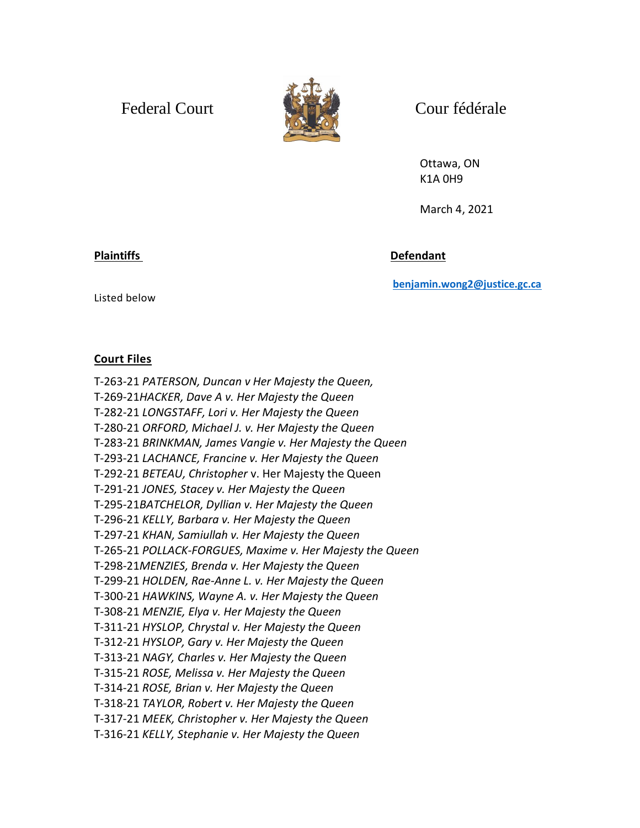Federal Court and Court Cour fédérale



Ottawa, ON K1A 0H9

March 4, 2021

Plaintiffs **Defendant** 

**[benjamin.wong2@justice.gc.ca](mailto:benjamin.wong2@justice.gc.ca)**

Listed below

## **Court Files**

T-263-21 *PATERSON, Duncan v Her Majesty the Queen,* T-269-21*HACKER, Dave A v. Her Majesty the Queen*  T-282-21 *LONGSTAFF, Lori v. Her Majesty the Queen* T-280-21 *ORFORD, Michael J. v. Her Majesty the Queen*  T-283-21 *BRINKMAN, James Vangie v. Her Majesty the Queen* T-293-21 *LACHANCE, Francine v. Her Majesty the Queen* T-292-21 *BETEAU, Christopher* v. Her Majesty the Queen T-291-21 *JONES, Stacey v. Her Majesty the Queen* T-295-21*BATCHELOR, Dyllian v. Her Majesty the Queen*  T-296-21 *KELLY, Barbara v. Her Majesty the Queen* T-297-21 *KHAN, Samiullah v. Her Majesty the Queen* T-265-21 *POLLACK-FORGUES, Maxime v. Her Majesty the Queen* T-298-21*MENZIES, Brenda v. Her Majesty the Queen*  T-299-21 *HOLDEN, Rae-Anne L. v. Her Majesty the Queen* T-300-21 *HAWKINS, Wayne A. v. Her Majesty the Queen* T-308-21 *MENZIE, Elya v. Her Majesty the Queen* T-311-21 *HYSLOP, Chrystal v. Her Majesty the Queen* T-312-21 *HYSLOP, Gary v. Her Majesty the Queen* T-313-21 *NAGY, Charles v. Her Majesty the Queen*  T-315-21 *ROSE, Melissa v. Her Majesty the Queen* T-314-21 *ROSE, Brian v. Her Majesty the Queen* T-318-21 *TAYLOR, Robert v. Her Majesty the Queen* T-317-21 *MEEK, Christopher v. Her Majesty the Queen* T-316-21 *KELLY, Stephanie v. Her Majesty the Queen*